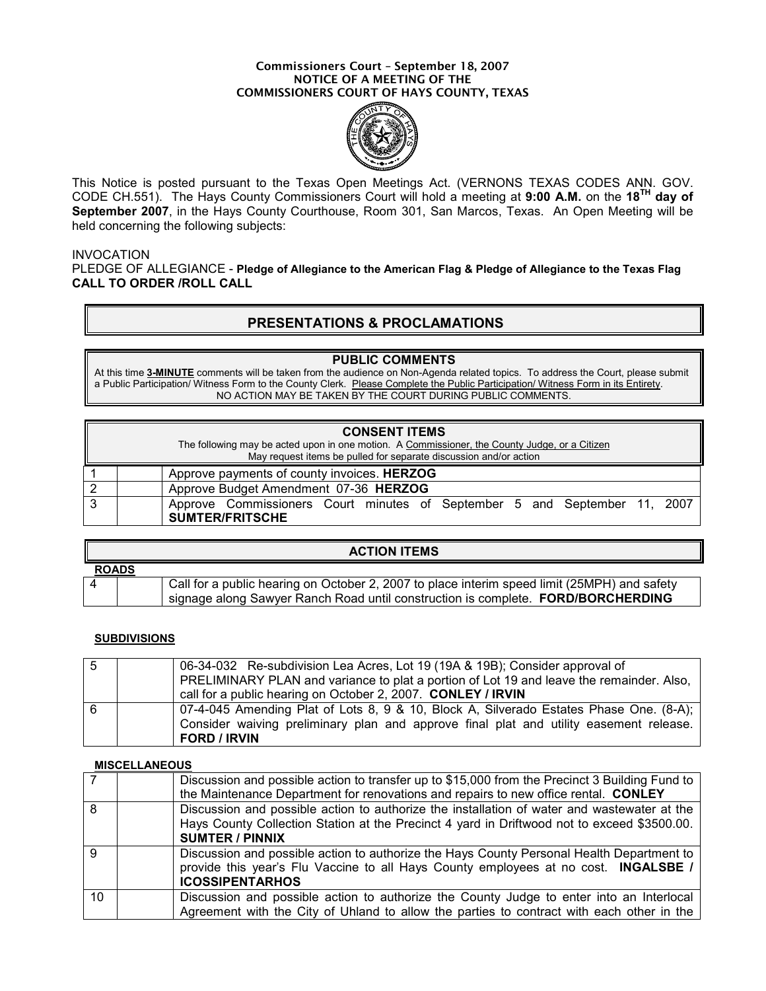#### Commissioners Court – September 18, 2007 NOTICE OF A MEETING OF THE COMMISSIONERS COURT OF HAYS COUNTY, TEXAS



This Notice is posted pursuant to the Texas Open Meetings Act. (VERNONS TEXAS CODES ANN. GOV. CODE CH.551). The Hays County Commissioners Court will hold a meeting at 9:00 A.M. on the 18TH day of September 2007, in the Hays County Courthouse, Room 301, San Marcos, Texas. An Open Meeting will be held concerning the following subjects:

### **INVOCATION**

PLEDGE OF ALLEGIANCE - Pledge of Allegiance to the American Flag & Pledge of Allegiance to the Texas Flag CALL TO ORDER /ROLL CALL

## PRESENTATIONS & PROCLAMATIONS

### PUBLIC COMMENTS

At this time 3-MINUTE comments will be taken from the audience on Non-Agenda related topics. To address the Court, please submit a Public Participation/ Witness Form to the County Clerk. Please Complete the Public Participation/ Witness Form in its Entirety. NO ACTION MAY BE TAKEN BY THE COURT DURING PUBLIC COMMENTS.

| <b>CONSENT ITEMS</b><br>The following may be acted upon in one motion. A Commissioner, the County Judge, or a Citizen<br>May request items be pulled for separate discussion and/or action |                                                                                                     |  |  |  |
|--------------------------------------------------------------------------------------------------------------------------------------------------------------------------------------------|-----------------------------------------------------------------------------------------------------|--|--|--|
|                                                                                                                                                                                            | Approve payments of county invoices. HERZOG                                                         |  |  |  |
|                                                                                                                                                                                            | Approve Budget Amendment 07-36 HERZOG                                                               |  |  |  |
| 3                                                                                                                                                                                          | Approve Commissioners Court minutes of September 5 and September 11, 2007<br><b>SUMTER/FRITSCHE</b> |  |  |  |

| <b>ACTION ITEMS</b> |  |                                                                                              |  |  |
|---------------------|--|----------------------------------------------------------------------------------------------|--|--|
| <b>ROADS</b>        |  |                                                                                              |  |  |
|                     |  | Call for a public hearing on October 2, 2007 to place interim speed limit (25MPH) and safety |  |  |
|                     |  | signage along Sawyer Ranch Road until construction is complete. FORD/BORCHERDING             |  |  |

## **SUBDIVISIONS**

| -5 | 06-34-032 Re-subdivision Lea Acres, Lot 19 (19A & 19B); Consider approval of                                  |
|----|---------------------------------------------------------------------------------------------------------------|
|    | PRELIMINARY PLAN and variance to plat a portion of Lot 19 and leave the remainder. Also,                      |
|    | call for a public hearing on October 2, 2007. CONLEY / IRVIN                                                  |
| 6  | 07-4-045 Amending Plat of Lots 8, 9 & 10, Block A, Silverado Estates Phase One. (8-A);                        |
|    | Consider waiving preliminary plan and approve final plat and utility easement release.<br><b>FORD / IRVIN</b> |
|    |                                                                                                               |

#### **MISCELLANEOUS**

|                | Discussion and possible action to transfer up to \$15,000 from the Precinct 3 Building Fund to<br>the Maintenance Department for renovations and repairs to new office rental. CONLEY                                |
|----------------|----------------------------------------------------------------------------------------------------------------------------------------------------------------------------------------------------------------------|
| 8 <sup>1</sup> | Discussion and possible action to authorize the installation of water and wastewater at the<br>Hays County Collection Station at the Precinct 4 yard in Driftwood not to exceed \$3500.00.<br><b>SUMTER / PINNIX</b> |
| $\overline{9}$ | Discussion and possible action to authorize the Hays County Personal Health Department to<br>provide this year's Flu Vaccine to all Hays County employees at no cost. INGALSBE /<br><b>ICOSSIPENTARHOS</b>           |
| 10             | Discussion and possible action to authorize the County Judge to enter into an Interlocal<br>Agreement with the City of Uhland to allow the parties to contract with each other in the                                |